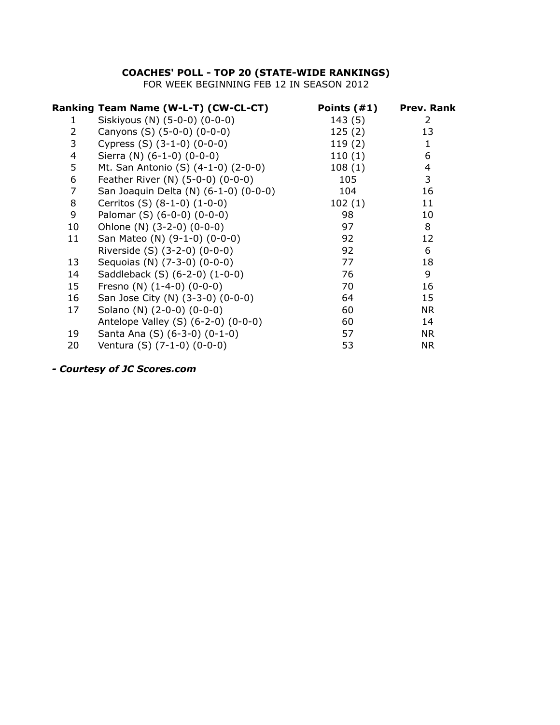## **COACHES' POLL - TOP 20 (STATE-WIDE RANKINGS)**

FOR WEEK BEGINNING FEB 12 IN SEASON 2012

|                | Ranking Team Name (W-L-T) (CW-CL-CT)  | Points $(41)$ | <b>Prev. Rank</b> |
|----------------|---------------------------------------|---------------|-------------------|
| 1              | Siskiyous (N) (5-0-0) (0-0-0)         | 143(5)        | 2                 |
| $\overline{2}$ | Canyons (S) (5-0-0) (0-0-0)           | 125(2)        | 13                |
| 3              | Cypress $(S)$ $(3-1-0)$ $(0-0-0)$     | 119(2)        | $\mathbf{1}$      |
| 4              | Sierra (N) (6-1-0) (0-0-0)            | 110(1)        | 6                 |
| 5              | Mt. San Antonio (S) (4-1-0) (2-0-0)   | 108(1)        | 4                 |
| 6              | Feather River (N) (5-0-0) (0-0-0)     | 105           | 3                 |
| 7              | San Joaquin Delta (N) (6-1-0) (0-0-0) | 104           | 16                |
| 8              | Cerritos (S) (8-1-0) (1-0-0)          | 102(1)        | 11                |
| 9              | Palomar (S) (6-0-0) (0-0-0)           | 98            | 10                |
| 10             | Ohlone (N) (3-2-0) (0-0-0)            | 97            | 8                 |
| 11             | San Mateo (N) (9-1-0) (0-0-0)         | 92            | 12                |
|                | Riverside (S) (3-2-0) (0-0-0)         | 92            | 6                 |
| 13             | Sequoias (N) (7-3-0) (0-0-0)          | 77            | 18                |
| 14             | Saddleback (S) (6-2-0) (1-0-0)        | 76            | 9                 |
| 15             | Fresno (N) $(1-4-0)$ $(0-0-0)$        | 70            | 16                |
| 16             | San Jose City (N) (3-3-0) (0-0-0)     | 64            | 15                |
| 17             | Solano (N) (2-0-0) (0-0-0)            | 60            | <b>NR</b>         |
|                | Antelope Valley (S) (6-2-0) (0-0-0)   | 60            | 14                |
| 19             | Santa Ana (S) (6-3-0) (0-1-0)         | 57            | <b>NR</b>         |
| 20             | Ventura (S) (7-1-0) (0-0-0)           | 53            | <b>NR</b>         |
|                |                                       |               |                   |

*- Courtesy of JC Scores.com*